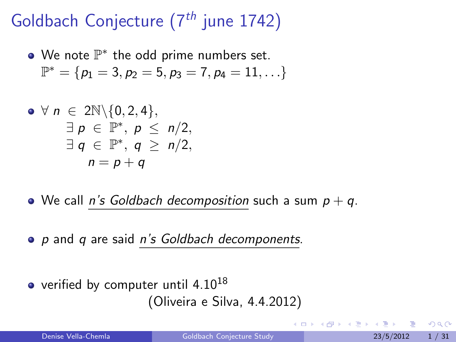# Goldbach Conjecture  $(7<sup>th</sup>$  june 1742)

We note  $\mathbb{P}^*$  the odd prime numbers set.  $\mathbb{P}^* = \{p_1 = 3, p_2 = 5, p_3 = 7, p_4 = 11, \ldots\}$ 

$$
\begin{array}{rcl}\n\bullet & \forall n \in 2\mathbb{N} \setminus \{0,2,4\}, \\
\exists p \in \mathbb{P}^*, \ p \leq n/2, \\
\exists q \in \mathbb{P}^*, \ q \geq n/2, \\
n = p + q\n\end{array}
$$

• We call *n's Goldbach decomposition* such a sum  $p + q$ .

- p and q are said n's Goldbach decomponents.
- verified by computer until  $4.10^{18}$ (Oliveira e Silva, 4.4.2012)

<span id="page-0-0"></span>4 0 8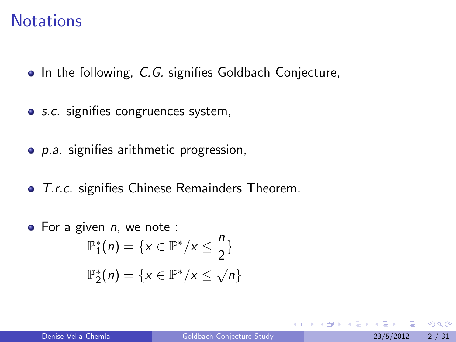#### **Notations**

- $\bullet$  In the following, C.G. signifies Goldbach Conjecture,
- *s.c.* signifies congruences system,
- **•** *p.a.* signifies arithmetic progression,
- T.r.c. signifies Chinese Remainders Theorem.
- $\bullet$  For a given *n*, we note :  $\mathbb{P}^*_1(n) = \{x \in \mathbb{P}^*/x \leq \frac{n}{2}\}$  $\frac{1}{2}$  $\mathbb{P}^*_2(n) = \{x \in \mathbb{P}^*/x \leq \sqrt{n}\}$

 $\Omega$ 

化重新润滑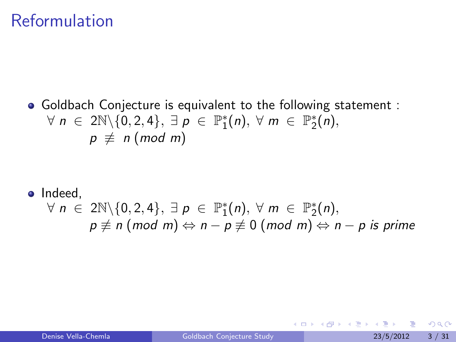### Reformulation

Goldbach Conjecture is equivalent to the following statement :  $\forall n \in 2\mathbb{N}\backslash\{0,2,4\}, \exists p \in \mathbb{P}_{1}^{*}(n), \forall m \in \mathbb{P}_{2}^{*}(n),$  $p \not\equiv n \pmod{m}$ 

\n- Indeed,
\n- $$
\forall n \in 2\mathbb{N} \setminus \{0, 2, 4\}, \exists p \in \mathbb{P}_1^*(n), \forall m \in \mathbb{P}_2^*(n),
$$
\n- $p \not\equiv n \pmod{m} \Leftrightarrow n - p \not\equiv 0 \pmod{m} \Leftrightarrow n - p \text{ is prime}$
\n

4 0 8

化医头头

 $QQ$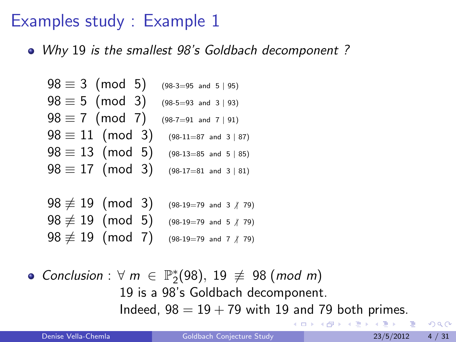• Why 19 is the smallest 98's Goldbach decomponent?

$$
98 \equiv 3 \pmod{5} \quad \text{(98-3=95 and 5 | 95)}
$$
\n
$$
98 \equiv 5 \pmod{3} \quad \text{(98-5=93 and 3 | 93)}
$$
\n
$$
98 \equiv 7 \pmod{7} \quad \text{(98-7=91 and 7 | 91)}
$$
\n
$$
98 \equiv 11 \pmod{3} \quad \text{(98-11=87 and 3 | 87)}
$$
\n
$$
98 \equiv 13 \pmod{5} \quad \text{(98-13=85 and 5 | 85)}
$$
\n
$$
98 \equiv 17 \pmod{3} \quad \text{(98-17=81 and 3 | 81)}
$$

 $98 \not\equiv 19 \pmod{3}$  (98-19=79 and 3 / 79)  $98 \not\equiv 19 \pmod{5}$  (98-19=79 and 5 / 79)  $98 \not\equiv 19 \pmod{7}$  (98-19=79 and 7 / 79)

Conclusion :  $\forall m \in \mathbb{P}_2^*(98)$ , 19  $\not\equiv$  98 (mod m) 19 is a 98's Goldbach decomponent. Indeed,  $98 = 19 + 79$  with 19 and 79 both primes.

<span id="page-3-0"></span> $\Omega$ 

**K ロ ト K 何 ト K ヨ ト K**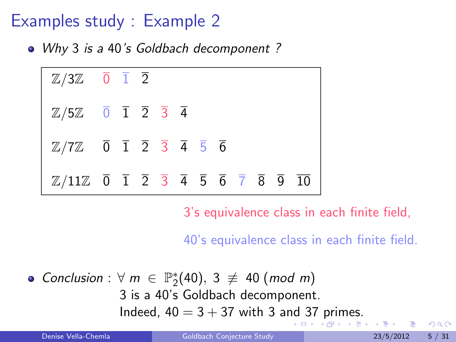• Why 3 is a 40's Goldbach decomponent?



3's equivalence class in each finite field,

40's equivalence class in each finite field.

Conclusion :  $\forall m \in \mathbb{P}_2^*(40), 3 \not\equiv 40 \pmod{m}$ 3 is a 40's Goldbach decomponent. I[nd](#page-3-0)eed, $40 = 3 + 37$  $40 = 3 + 37$  with 3 and 37 [pri](#page-4-0)[m](#page-5-0)[es](#page-0-0)[.](#page-30-0)

<span id="page-4-0"></span> $QQ$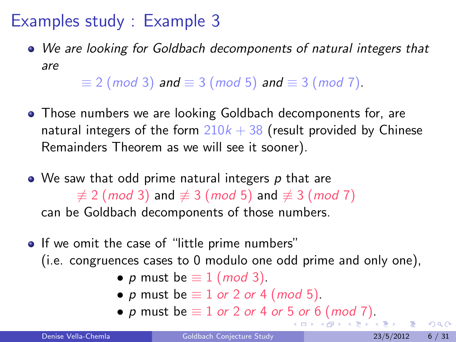We are looking for Goldbach decomponents of natural integers that are

 $\equiv$  2 (mod 3) and  $\equiv$  3 (mod 5) and  $\equiv$  3 (mod 7).

- Those numbers we are looking Goldbach decomponents for, are natural integers of the form  $210k + 38$  (result provided by Chinese Remainders Theorem as we will see it sooner).
- $\bullet$  We saw that odd prime natural integers p that are  $\neq$  2 (mod 3) and  $\neq$  3 (mod 5) and  $\neq$  3 (mod 7) can be Goldbach decomponents of those numbers.
- <span id="page-5-0"></span>• If we omit the case of "little prime numbers" (i.e. congruences cases to 0 modulo one odd prime and only one),
	- p must be  $\equiv 1 \pmod{3}$ .
	- p must be  $\equiv$  1 or 2 or 4 (mod 5).
	- p [m](#page-5-0)ust be  $\equiv 1$  or 2 or 4 or [5](#page-4-0) or [6](#page-4-0) [\(](#page-5-0)m[od](#page-0-0) [7\)](#page-30-0)[.](#page-0-0)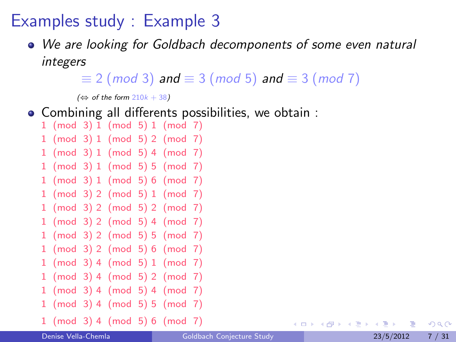We are looking for Goldbach decomponents of some even natural integers

 $\equiv$  2 (mod 3) and  $\equiv$  3 (mod 5) and  $\equiv$  3 (mod 7)

 $(\Leftrightarrow$  of the form 210 $k + 38$ )

- Combining all differents possibilities, we obtain :
	- 1 (mod 3) 1 (mod 5) 1 (mod 7) 1 (mod 3) 1 (mod 5) 2 (mod 7) 1 (mod 3) 1 (mod 5) 4 (mod 7) 1 (mod 3) 1 (mod 5) 5 (mod 7) 1 (mod 3) 1 (mod 5) 6 (mod 7) 1 (mod 3) 2 (mod 5) 1 (mod 7) 1 (mod 3) 2 (mod 5) 2 (mod 7) 1 (mod 3) 2 (mod 5) 4 (mod 7) 1 (mod 3) 2 (mod 5) 5 (mod 7) 1 (mod 3) 2 (mod 5) 6 (mod 7) 1 (mod 3) 4 (mod 5) 1 (mod 7) 1 (mod 3) 4 (mod 5) 2 (mod 7) 1 (mod 3) 4 (mod 5) 4 (mod 7) 1 (mod 3) 4 (mod 5) 5 (mod 7) 1 (mod 3) 4 (mod 5) 6 (mod 7)

<span id="page-6-0"></span> $QQ$ 

イロト イ母 トイヨ トイヨト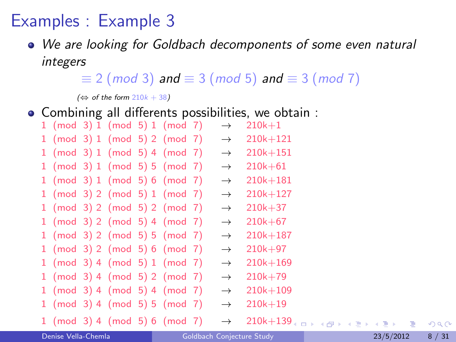### Examples : Example 3

We are looking for Goldbach decomponents of some even natural integers

 $\equiv$  2 (mod 3) and  $\equiv$  3 (mod 5) and  $\equiv$  3 (mod 7)

 $(\Leftrightarrow$  of the form 210 $k + 38$ )

Combining all differents possibilities, we obtain :

| 1 (mod 3) 1 (mod 5) 1 (mod 7) |  |  | $\rightarrow$ | $210k + 1$   |
|-------------------------------|--|--|---------------|--------------|
| 1 (mod 3) 1 (mod 5) 2 (mod 7) |  |  | $\rightarrow$ | $210k + 121$ |
| 1 (mod 3) 1 (mod 5) 4 (mod 7) |  |  | $\rightarrow$ | $210k + 151$ |
| 1 (mod 3) 1 (mod 5) 5 (mod 7) |  |  | $\rightarrow$ | $210k + 61$  |
| 1 (mod 3) 1 (mod 5) 6 (mod 7) |  |  | $\rightarrow$ | $210k + 181$ |
| 1 (mod 3) 2 (mod 5) 1 (mod 7) |  |  | $\rightarrow$ | $210k + 127$ |
| 1 (mod 3) 2 (mod 5) 2 (mod 7) |  |  | $\rightarrow$ | $210k + 37$  |
| 1 (mod 3) 2 (mod 5) 4 (mod 7) |  |  | $\rightarrow$ | $210k + 67$  |
| 1 (mod 3) 2 (mod 5) 5 (mod 7) |  |  | $\rightarrow$ | $210k + 187$ |
| 1 (mod 3) 2 (mod 5) 6 (mod 7) |  |  | $\rightarrow$ | $210k + 97$  |
| 1 (mod 3) 4 (mod 5) 1 (mod 7) |  |  | $\rightarrow$ | $210k + 169$ |
| 1 (mod 3) 4 (mod 5) 2 (mod 7) |  |  | $\rightarrow$ | $210k + 79$  |
| 1 (mod 3) 4 (mod 5) 4 (mod 7) |  |  | $\rightarrow$ | $210k + 109$ |
| 1 (mod 3) 4 (mod 5) 5 (mod 7) |  |  | $\rightarrow$ | $210k + 19$  |
| 1 (mod 3) 4 (mod 5) 6 (mod 7) |  |  | $\rightarrow$ | $210k + 139$ |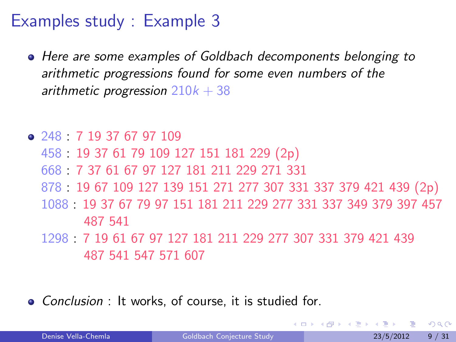- Here are some examples of Goldbach decomponents belonging to arithmetic progressions found for some even numbers of the arithmetic progression  $210k + 38$
- 248 : 7 19 37 67 97 109 458 : 19 37 61 79 109 127 151 181 229 (2p) 668 : 7 37 61 67 97 127 181 211 229 271 331 878 : 19 67 109 127 139 151 271 277 307 331 337 379 421 439 (2p) 1088 : 19 37 67 79 97 151 181 211 229 277 331 337 349 379 397 457 487 541 1298 : 7 19 61 67 97 127 181 211 229 277 307 331 379 421 439
	- 487 541 547 571 607
- Conclusion : It works, of course, it is studied for.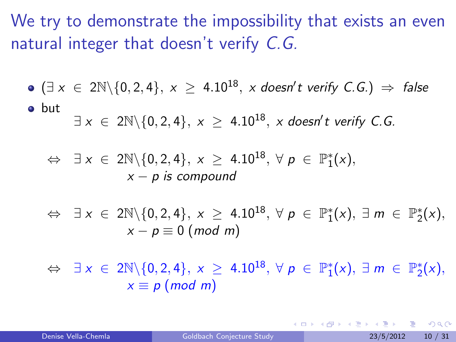We try to demonstrate the impossibility that exists an even natural integer that doesn't verify C.G.

• 
$$
(\exists x \in 2\mathbb{N}\setminus\{0,2,4\}, x \geq 4.10^{18}, x \text{ doesn't verify } C.G.) \Rightarrow false
$$

• but  $\exists~\mathsf{x}~\in~2\mathbb{N}\backslash\{0,2,4\},~\mathsf{x}~\geq~4.10^{18},~\mathsf{x}~\mathsf{doesn't}~\mathsf{verify}~\mathsf{C}.\mathsf{G}.$ 

$$
\Leftrightarrow \exists x \in 2\mathbb{N} \setminus \{0,2,4\}, x \geq 4.10^{18}, \forall p \in \mathbb{P}_{1}^{*}(x),
$$
  

$$
x - p \text{ is compound}
$$

$$
\Leftrightarrow \exists x \in 2\mathbb{N} \setminus \{0,2,4\}, x \geq 4.10^{18}, \forall p \in \mathbb{P}_{1}^{*}(x), \exists m \in \mathbb{P}_{2}^{*}(x),
$$
  

$$
x - p \equiv 0 \text{ (mod } m)
$$

 $\Leftrightarrow \exists x \in 2\mathbb{N} \setminus \{0, 2, 4\}, x \geq 4.10^{18}, \forall p \in \mathbb{P}^*_1(x), \exists m \in \mathbb{P}^*_2(x),$  $x \equiv p \pmod{m}$ 

つへへ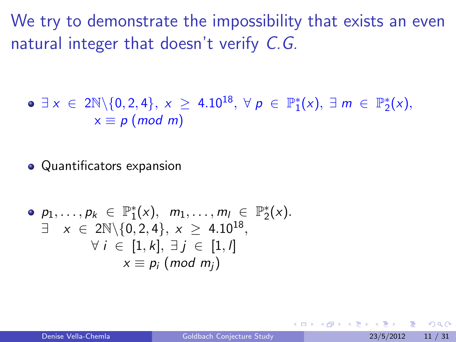We try to demonstrate the impossibility that exists an even natural integer that doesn't verify C.G.

 $\exists x \in 2\mathbb{N} \setminus \{0, 2, 4\}, x \geq 4.10^{18}, \forall p \in \mathbb{P}_{1}^{*}(x), \exists m \in \mathbb{P}_{2}^{*}(x),$  $x \equiv p \pmod{m}$ 

• Quantificators expansion

\n- \n
$$
\mathsf{p}_1, \ldots, \mathsf{p}_k \in \mathbb{P}_1^*(x), \quad m_1, \ldots, m_l \in \mathbb{P}_2^*(x).
$$
\n
\n- \n $\exists \quad x \in 2\mathbb{N} \setminus \{0, 2, 4\}, \quad x \geq 4.10^{18},$ \n $\forall \quad i \in [1, k], \quad \exists \quad j \in [1, l]$ \n $x \equiv p_i \pmod{m_j}$ \n
\n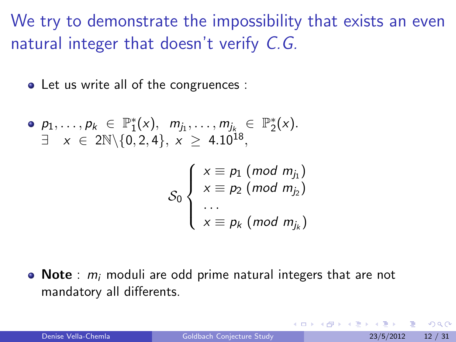We try to demonstrate the impossibility that exists an even natural integer that doesn't verify C.G.

• Let us write all of the congruences :

• 
$$
p_1, ..., p_k \in \mathbb{P}_1^*(x), m_{j_1}, ..., m_{j_k} \in \mathbb{P}_2^*(x)
$$
.  
\n $\exists x \in 2\mathbb{N}\setminus\{0, 2, 4\}, x \geq 4.10^{18}$ ,

$$
\mathcal{S}_0 \left\{ \begin{array}{l} x \equiv p_1 \ (mod \ m_{j_1}) \\ x \equiv p_2 \ (mod \ m_{j_2}) \\ \dots \\ x \equiv p_k \ (mod \ m_{j_k}) \end{array} \right.
$$

 $\bullet$  Note :  $m_i$  moduli are odd prime natural integers that are not mandatory all differents.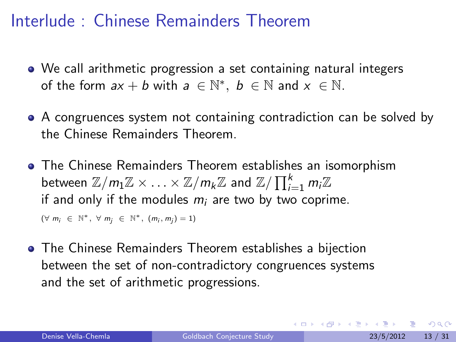### Interlude : Chinese Remainders Theorem

- We call arithmetic progression a set containing natural integers of the form  $ax + b$  with  $a \in \mathbb{N}^*, b \in \mathbb{N}$  and  $x \in \mathbb{N}$ .
- A congruences system not containing contradiction can be solved by the Chinese Remainders Theorem.
- The Chinese Remainders Theorem establishes an isomorphism between  $\mathbb{Z}/m_1\mathbb{Z} \times \ldots \times \mathbb{Z}/m_k\mathbb{Z}$  and  $\mathbb{Z}/\prod_{i=1}^k m_i\mathbb{Z}$ if and only if the modules  $m_i$  are two by two coprime.  $(\forall m_i \in \mathbb{N}^*, \forall m_j \in \mathbb{N}^*, (m_i, m_j) = 1)$
- The Chinese Remainders Theorem establishes a bijection between the set of non-contradictory congruences systems and the set of arithmetic progressions.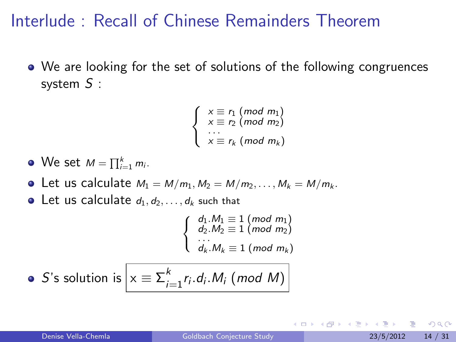### Interlude : Recall of Chinese Remainders Theorem

We are looking for the set of solutions of the following congruences system S :

$$
\begin{cases}\n x \equiv r_1 \pmod{m_1} \\
 x \equiv r_2 \pmod{m_2} \\
 \cdots \\
 x \equiv r_k \pmod{m_k}\n\end{cases}
$$

- We set  $M = \prod_{i=1}^k m_i$ .
- Let us calculate  $M_1 = M/m_1, M_2 = M/m_2, \ldots, M_k = M/m_k$ .
- Let us calculate  $d_1, d_2, \ldots, d_k$  such that

ſ  $\mathcal{L}$  $d_1.M_1 \equiv 1 \ (mod \ m_1)$  $d_2.M_2 \equiv 1 \pmod{m_2}$  $d_k.M_k \equiv 1 \pmod{m_k}$ 

• S's solution is 
$$
x \equiv \sum_{i=1}^{k} r_i \cdot d_i \cdot M_i \pmod{M}
$$

つひひ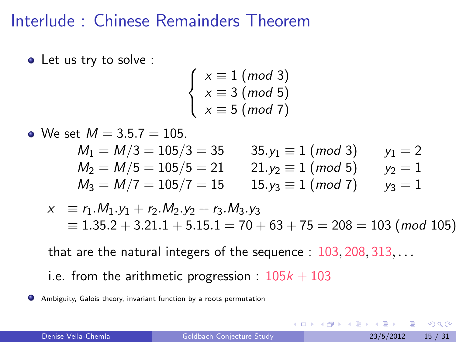#### Interlude : Chinese Remainders Theorem

• Let us try to solve :

$$
\left\{\n \begin{array}{l}\n x \equiv 1 \pmod{3} \\
 x \equiv 3 \pmod{5} \\
 x \equiv 5 \pmod{7}\n \end{array}\n\right.
$$

• We set  $M = 3.5.7 = 105$ .

| $M_1 = M/3 = 105/3 = 35$ | $35. y_1 \equiv 1 \pmod{3}$ | $y_1 = 2$ |
|--------------------------|-----------------------------|-----------|
| $M_2 = M/5 = 105/5 = 21$ | $21. y_2 \equiv 1 \pmod{5}$ | $y_2 = 1$ |
| $M_3 = M/7 = 105/7 = 15$ | $15. y_3 \equiv 1 \pmod{7}$ | $y_3 = 1$ |

$$
x \equiv r_1.M_1.y_1 + r_2.M_2.y_2 + r_3.M_3.y_3
$$
  
\n
$$
\equiv 1.35.2 + 3.21.1 + 5.15.1 = 70 + 63 + 75 = 208 = 103 \text{ (mod 105)}
$$

4 0 8

that are the natural integers of the sequence : 103, 208, 313, ...

i.e. from the arithmetic progression :  $105k + 103$ 

Ambiguity, Galois theory, invariant function by a roots permutation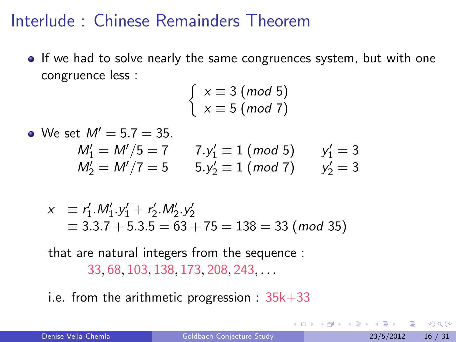#### Interlude : Chinese Remainders Theorem

• If we had to solve nearly the same congruences system, but with one congruence less :

$$
\left\{\n \begin{array}{l}\n x \equiv 3 \pmod{5} \\
 x \equiv 5 \pmod{7}\n \end{array}\n\right.
$$

• We set  $M' = 5.7 = 35$ .  $M'_1 = M'/5 = 7$  7. $y'_1 \equiv 1 \pmod{5}$   $y'_1 = 3$  $M'_2 = M'/7 = 5$   $5.y'_2 \equiv 1 \pmod{7}$   $y'_2 = 3$ 

$$
x \equiv r'_1.M'_1.y'_1 + r'_2.M'_2.y'_2
$$
  
\n
$$
\equiv 3.3.7 + 5.3.5 = 63 + 75 = 138 = 33 \pmod{35}
$$

that are natural integers from the sequence : 33, 68, 103, 138, 173, 208, 243, . . .

i.e. from the arithmetic progression :  $35k+33$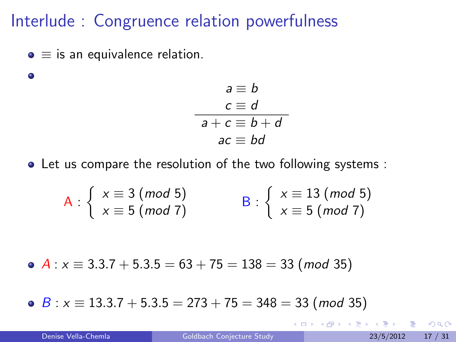### Interlude : Congruence relation powerfulness

 $\bullet \equiv$  is an equivalence relation.

 $\bullet$ 

$$
a \equiv b
$$
  
\n
$$
c \equiv d
$$
  
\n
$$
a + c \equiv b + d
$$
  
\n
$$
ac \equiv bd
$$

Let us compare the resolution of the two following systems :

$$
A: \left\{ \begin{array}{l} x \equiv 3 \ (mod \ 5) \\ x \equiv 5 \ (mod \ 7) \end{array} \right\} \qquad B: \left\{ \begin{array}{l} x \equiv 13 \ (mod \ 5) \\ x \equiv 5 \ (mod \ 7) \end{array} \right.
$$

• 
$$
A: x \equiv 3.3.7 + 5.3.5 = 63 + 75 = 138 = 33 \pmod{35}
$$

 $B: x \equiv 13.3.7 + 5.3.5 = 273 + 75 = 348 = 33 \pmod{35}$ 

4 日下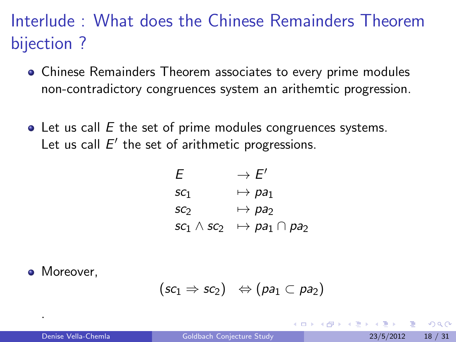# Interlude : What does the Chinese Remainders Theorem bijection ?

- Chinese Remainders Theorem associates to every prime modules non-contradictory congruences system an arithemtic progression.
- $\bullet$  Let us call E the set of prime modules congruences systems. Let us call  $E'$  the set of arithmetic progressions.

$$
E \rightarrow E'
$$
  
\n
$$
sc_1 \rightarrow pa_1
$$
  
\n
$$
sc_2 \rightarrow pa_2
$$
  
\n
$$
sc_1 \wedge sc_2 \rightarrow pa_1 \cap pa_2
$$

• Moreover.

.

$$
(sc_1 \Rightarrow sc_2) \;\; \Leftrightarrow (pa_1 \subset pa_2)
$$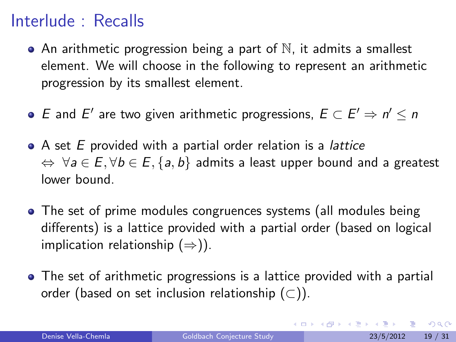### Interlude : Recalls

- $\bullet$  An arithmetic progression being a part of  $\mathbb N$ , it admits a smallest element. We will choose in the following to represent an arithmetic progression by its smallest element.
- E and E' are two given arithmetic progressions,  $E \subset E' \Rightarrow n' \leq n$
- A set E provided with a partial order relation is a *lattice*  $\Leftrightarrow \forall a \in E, \forall b \in E, \{a, b\}$  admits a least upper bound and a greatest lower bound.
- The set of prime modules congruences systems (all modules being differents) is a lattice provided with a partial order (based on logical implication relationship  $(\Rightarrow)$ ).
- The set of arithmetic progressions is a lattice provided with a partial order (based on set inclusion relationship  $(\subset)$ ).

<span id="page-18-0"></span> $\Omega$ 

イロト イ部 トイヨ トイヨト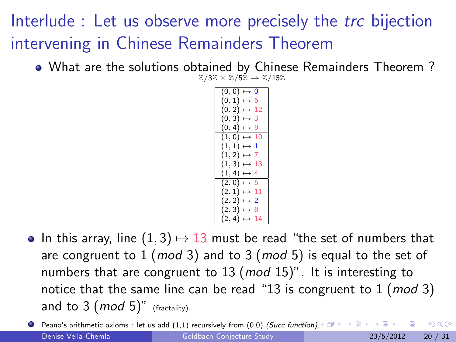# Interlude : Let us observe more precisely the *trc* bijection intervening in Chinese Remainders Theorem

What are the solutions obtained by Chinese Remainders Theorem ?  $\mathbb{Z}/3\mathbb{Z} \times \mathbb{Z}/5\mathbb{Z} \rightarrow \mathbb{Z}/15\mathbb{Z}$ 

> $(0, 0) \mapsto 0$  $(0, 1) \mapsto 6$  $(0, 2) \mapsto 12$  $(0, 3) \mapsto 3$  $(0, 4) \mapsto 9$  $(1, 0) \mapsto 10$  $(1, 1) \mapsto 1$  $(1, 2) \mapsto 7$  $(1, 3) \mapsto 13$  $(1, 4) \mapsto 4$  $(2, 0) \mapsto 5$  $(2, 1) \mapsto 11$  $(2, 2) \mapsto 2$  $(2, 3) \mapsto 8$  $(2, 4) \mapsto 14$

• In this array, line  $(1, 3) \mapsto 13$  must be read "the set of numbers that are congruent to  $1 \ (mod 3)$  and to  $3 \ (mod 5)$  is equal to the set of numbers that are congruent to  $13 \ (mod 15)$ ". It is interesting to notice that the same line can be read "13 is congruent to  $1 \pmod{3}$ and to  $3 \ (mod\ 5)$ " (fractality).

**Peano's arithmetic axioms : let us add (1,1) recursively from (0,0) (Succ f[unc](#page-18-0)ti[on\)](#page-20-0)[.](#page-18-0)**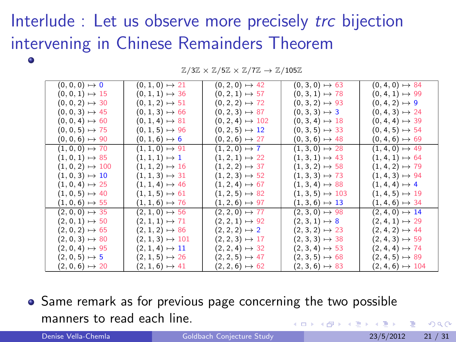# Interlude : Let us observe more precisely *trc* bijection intervening in Chinese Remainders Theorem

| $(0,0,0)\mapsto 0$      | $(0, 1, 0) \mapsto 21$  | $(0, 2, 0) \mapsto 42$  | $(0, 3, 0) \mapsto 63$  | $(0, 4, 0) \mapsto 84$  |
|-------------------------|-------------------------|-------------------------|-------------------------|-------------------------|
| $(0, 0, 1) \mapsto 15$  | $(0, 1, 1) \mapsto 36$  | $(0, 2, 1) \mapsto 57$  | $(0, 3, 1) \mapsto 78$  | $(0, 4, 1) \mapsto 99$  |
| $(0, 0, 2) \mapsto 30$  | $(0, 1, 2) \mapsto 51$  | $(0, 2, 2) \mapsto 72$  | $(0, 3, 2) \mapsto 93$  | $(0, 4, 2) \mapsto 9$   |
| $(0, 0, 3) \mapsto 45$  | $(0, 1, 3) \mapsto 66$  | $(0, 2, 3) \mapsto 87$  | $(0, 3, 3) \mapsto 3$   | $(0, 4, 3) \mapsto 24$  |
| $(0, 0, 4) \mapsto 60$  | $(0, 1, 4) \mapsto 81$  | $(0, 2, 4) \mapsto 102$ | $(0, 3, 4) \mapsto 18$  | $(0, 4, 4) \mapsto 39$  |
| $(0, 0, 5) \mapsto 75$  | $(0, 1, 5) \mapsto 96$  | $(0, 2, 5) \mapsto 12$  | $(0, 3, 5) \mapsto 33$  | $(0, 4, 5) \mapsto 54$  |
| $(0, 0, 6) \mapsto 90$  | $(0, 1, 6) \mapsto 6$   | $(0, 2, 6) \mapsto 27$  | $(0, 3, 6) \mapsto 48$  | $(0, 4, 6) \mapsto 69$  |
| $(1, 0, 0) \mapsto 70$  | $(1, 1, 0) \mapsto 91$  | $(1, 2, 0) \mapsto 7$   | $(1, 3, 0) \mapsto 28$  | $(1, 4, 0) \mapsto 49$  |
| $(1, 0, 1) \mapsto 85$  | $(1, 1, 1) \mapsto 1$   | $(1, 2, 1) \mapsto 22$  | $(1, 3, 1) \mapsto 43$  | $(1, 4, 1) \mapsto 64$  |
| $(1, 0, 2) \mapsto 100$ | $(1, 1, 2) \mapsto 16$  | $(1, 2, 2) \mapsto 37$  | $(1, 3, 2) \mapsto 58$  | $(1, 4, 2) \mapsto 79$  |
| $(1, 0, 3) \mapsto 10$  | $(1, 1, 3) \mapsto 31$  | $(1, 2, 3) \mapsto 52$  | $(1, 3, 3) \mapsto 73$  | $(1, 4, 3) \mapsto 94$  |
| $(1, 0, 4) \mapsto 25$  | $(1, 1, 4) \mapsto 46$  | $(1, 2, 4) \mapsto 67$  | $(1, 3, 4) \mapsto 88$  | $(1, 4, 4) \mapsto 4$   |
| $(1, 0, 5) \mapsto 40$  | $(1, 1, 5) \mapsto 61$  | $(1, 2, 5) \mapsto 82$  | $(1, 3, 5) \mapsto 103$ | $(1, 4, 5) \mapsto 19$  |
| $(1, 0, 6) \mapsto 55$  | $(1, 1, 6) \mapsto 76$  | $(1, 2, 6) \mapsto 97$  | $(1, 3, 6) \mapsto 13$  | $(1, 4, 6) \mapsto 34$  |
| $(2, 0, 0) \mapsto 35$  | $(2, 1, 0) \mapsto 56$  | $(2, 2, 0) \mapsto 77$  | $(2, 3, 0) \mapsto 98$  | $(2, 4, 0) \mapsto 14$  |
| $(2, 0, 1) \mapsto 50$  | $(2, 1, 1) \mapsto 71$  | $(2, 2, 1) \mapsto 92$  | $(2,3,1)\mapsto 8$      | $(2, 4, 1) \mapsto 29$  |
| $(2, 0, 2) \mapsto 65$  | $(2, 1, 2) \mapsto 86$  | $(2, 2, 2) \mapsto 2$   | $(2, 3, 2) \mapsto 23$  | $(2, 4, 2) \mapsto 44$  |
| $(2, 0, 3) \mapsto 80$  | $(2, 1, 3) \mapsto 101$ | $(2, 2, 3) \mapsto 17$  | $(2, 3, 3) \mapsto 38$  | $(2, 4, 3) \mapsto 59$  |
| $(2, 0, 4) \mapsto 95$  | $(2, 1, 4) \mapsto 11$  | $(2, 2, 4) \mapsto 32$  | $(2, 3, 4) \mapsto 53$  | $(2, 4, 4) \mapsto 74$  |
| $(2, 0, 5) \mapsto 5$   | $(2, 1, 5) \mapsto 26$  | $(2, 2, 5) \mapsto 47$  | $(2, 3, 5) \mapsto 68$  | $(2, 4, 5) \mapsto 89$  |
| $(2, 0, 6) \mapsto 20$  | $(2, 1, 6) \mapsto 41$  | $(2, 2, 6) \mapsto 62$  | $(2, 3, 6) \mapsto 83$  | $(2, 4, 6) \mapsto 104$ |

 $\mathbb{Z}/3\mathbb{Z} \times \mathbb{Z}/5\mathbb{Z} \times \mathbb{Z}/7\mathbb{Z} \rightarrow \mathbb{Z}/105\mathbb{Z}$ 

• Same remark as for previous page concerning the two possible manners to read each line. 4 0 8

<span id="page-20-0"></span> $QQ$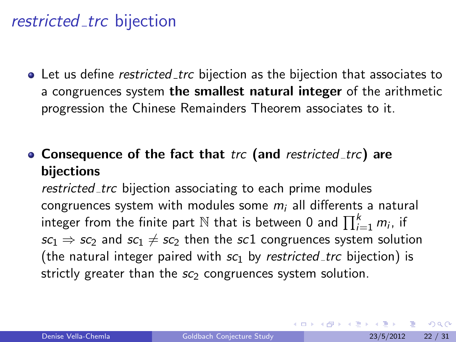#### restricted trc bijection

• Let us define *restricted trc* bijection as the bijection that associates to a congruences system the smallest natural integer of the arithmetic progression the Chinese Remainders Theorem associates to it.

• Consequence of the fact that trc (and restricted trc) are bijections

restricted trc bijection associating to each prime modules congruences system with modules some  $m_i$  all differents a natural integer from the finite part  $\mathbb N$  that is between 0 and  $\prod_{i=1}^k m_i$ , if  $sc_1 \Rightarrow sc_2$  and  $sc_1 \neq sc_2$  then the sc1 congruences system solution (the natural integer paired with  $sc<sub>1</sub>$  by restricted trc bijection) is strictly greater than the  $sc_2$  congruences system solution.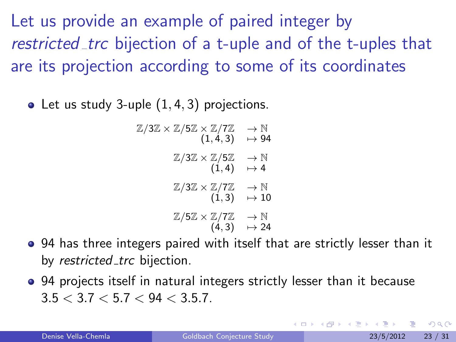Let us provide an example of paired integer by restricted trc bijection of a t-uple and of the t-uples that are its projection according to some of its coordinates

• Let us study 3-uple  $(1, 4, 3)$  projections.

$$
\mathbb{Z}/3\mathbb{Z} \times \mathbb{Z}/5\mathbb{Z} \times \mathbb{Z}/7\mathbb{Z} \longrightarrow \mathbb{N}
$$
\n
$$
(1,4,3) \longrightarrow 94
$$
\n
$$
\mathbb{Z}/3\mathbb{Z} \times \mathbb{Z}/5\mathbb{Z} \longrightarrow \mathbb{N}
$$
\n
$$
(1,4) \longrightarrow 4
$$
\n
$$
\mathbb{Z}/3\mathbb{Z} \times \mathbb{Z}/7\mathbb{Z} \longrightarrow \mathbb{N}
$$
\n
$$
(1,3) \longrightarrow 10
$$
\n
$$
\mathbb{Z}/5\mathbb{Z} \times \mathbb{Z}/7\mathbb{Z} \longrightarrow \mathbb{N}
$$
\n
$$
(4,3) \longrightarrow 24
$$

- 94 has three integers paired with itself that are strictly lesser than it by restricted trc bijection.
- 94 projects itself in natural integers strictly lesser than it because  $3.5 < 3.7 < 5.7 < 94 < 3.5.7$ .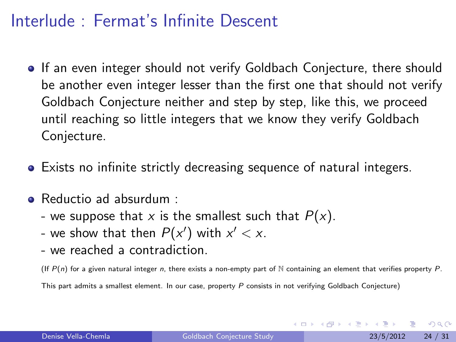## Interlude : Fermat's Infinite Descent

- **If an even integer should not verify Goldbach Conjecture, there should** be another even integer lesser than the first one that should not verify Goldbach Conjecture neither and step by step, like this, we proceed until reaching so little integers that we know they verify Goldbach Conjecture.
- Exists no infinite strictly decreasing sequence of natural integers.
- Reductio ad absurdum :
	- we suppose that x is the smallest such that  $P(x)$ .
	- we show that then  $P(x')$  with  $x' < x$ .
	- we reached a contradiction.

(If  $P(n)$  for a given natural integer n, there exists a non-empty part of N containing an element that verifies property P.

This part admits a smallest element. In our case, property  $P$  consists in not verifying Goldbach Conjecture)

 $200$ 

イロメ イ母メ イヨメ イヨ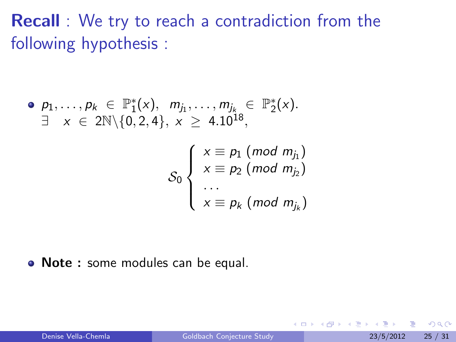**Recall** : We try to reach a contradiction from the following hypothesis :

• 
$$
p_1, ..., p_k \in \mathbb{P}_1^*(x), m_{j_1}, ..., m_{j_k} \in \mathbb{P}_2^*(x)
$$
.  
\n $\exists x \in 2\mathbb{N}\setminus\{0, 2, 4\}, x \geq 4.10^{18}$ ,

$$
\mathcal{S}_0 \left\{ \begin{array}{l} x \equiv p_1 \ (mod \ m_{j_1}) \\ x \equiv p_2 \ (mod \ m_{j_2}) \\ \dots \\ x \equiv p_k \ (mod \ m_{j_k}) \end{array} \right.
$$

• Note : some modules can be equal.

4 0 8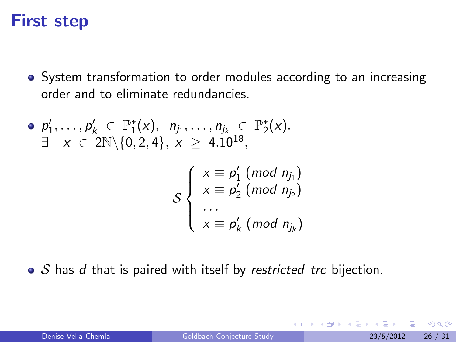# First step

System transformation to order modules according to an increasing order and to eliminate redundancies.

$$
\begin{aligned}\n\bullet \quad & p_1', \dots, p_k' \in \mathbb{P}_1^*(x), \quad n_{j_1}, \dots, n_{j_k} \in \mathbb{P}_2^*(x). \\
\exists \quad & x \in 2\mathbb{N} \setminus \{0, 2, 4\}, \quad x \geq 4.10^{18}, \\
& \quad \mathcal{S} \left\{ \begin{array}{l}\n x \equiv p_1' \pmod{n_{j_1}} \\
 x \equiv p_2' \pmod{n_{j_2}} \\
 \vdots \\
 x \equiv p_k' \pmod{n_{j_k}}\n\end{array}\n\right\}\n\end{aligned}
$$

 $\bullet$  S has d that is paired with itself by restricted trc bijection.

4 0 8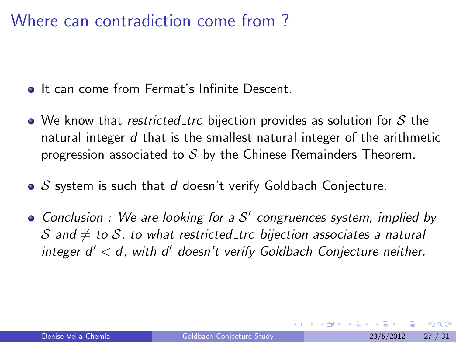#### Where can contradiction come from ?

- **•** It can come from Fermat's Infinite Descent.
- $\bullet$  We know that *restricted trc* bijection provides as solution for S the natural integer  $d$  that is the smallest natural integer of the arithmetic progression associated to  $S$  by the Chinese Remainders Theorem.
- $\bullet$  S system is such that d doesn't verify Goldbach Conjecture.
- Conclusion : We are looking for a  $S'$  congruences system, implied by S and  $\neq$  to S, to what restricted trc bijection associates a natural integer  $d' < d$ , with  $d'$  doesn't verify Goldbach Conjecture neither.

<span id="page-26-0"></span>つひひ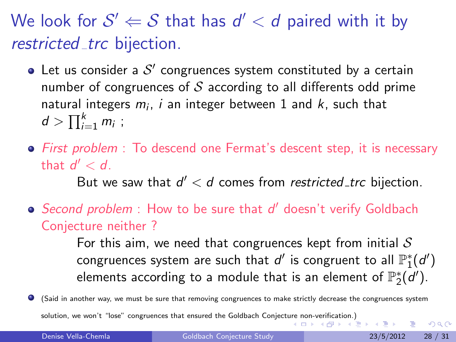We look for  $\mathcal{S}'\Leftarrow\mathcal{S}$  that has  $d'< d$  paired with it by restricted trc bijection.

- Let us consider a  $\mathcal{S}'$  congruences system constituted by a certain number of congruences of  $S$  according to all differents odd prime natural integers  $m_i$ ,  $i$  an integer between  $1$  and  $k$ , such that  $d > \prod_{i=1}^k m_i$  ;
- First problem : To descend one Fermat's descent step, it is necessary that  $d' < d$ .

But we saw that  $d' < d$  comes from restricted\_trc bijection.

Second problem : How to be sure that d' doesn't verify Goldbach Conjecture neither ?

> For this aim, we need that congruences kept from initial  $S$ congruences system are such that  $d'$  is congruent to all  $\mathbb{P}^*_1(d')$ elements according to a module that is an element of  $\mathbb{P}^*_2(\vec{d}').$

(Said in another way, we must be sure that removing congruences to make strictly decrease the congruences system solution, we won't "lose" congruences that ensured the Goldbach Conject[ure n](#page-26-0)[on-v](#page-28-0)[er](#page-26-0)[ifica](#page-27-0)[ti](#page-28-0)[on.\)](#page-0-0)

Denise Vella-Chemla [Goldbach Conjecture Study](#page-0-0) 23/5/2012 28 / 31

<span id="page-27-0"></span> $QQ$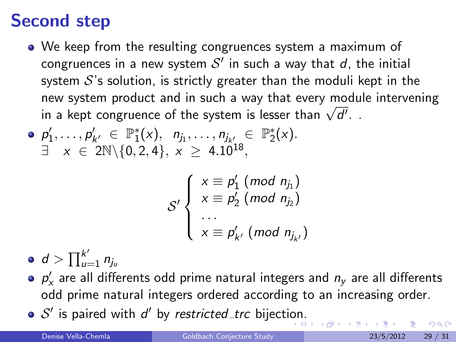# Second step

- We keep from the resulting congruences system a maximum of congruences in a new system  $\mathcal{S}'$  in such a way that  $d$ , the initial system  $S$ 's solution, is strictly greater than the moduli kept in the new system product and in such a way that every module intervening new system product and in such a way that every modu<br>in a kept congruence of the system is lesser than  $\sqrt{d'}$ .
- $p'_1, \ldots, p'_{k'} \in \mathbb{P}_1^*(x), \quad n_{j_1}, \ldots, n_{j_{k'}}, \in \mathbb{P}_2^*(x).$  $\exists x \in 2\mathbb{N} \setminus \{0, 2, 4\}, x \geq 4.10^{18},$

<span id="page-28-0"></span>
$$
\mathcal{S}'\left\{\begin{array}{l} x \equiv p'_1 \ (mod\ n_{j_1}) \\ x \equiv p'_2 \ (mod\ n_{j_2}) \\ \vdots \\ x \equiv p'_{k'} \ (mod\ n_{j_{k'}}) \end{array}\right.
$$

 $d>\prod_{u=1}^{k'} n_{j_u}$ 

- $p'_\mathsf{x}$  are all differents odd prime natural integers and  $n_\mathsf{y}$  are all differents odd prime natural integers ordered according to an increasing order.
- $S'$  is paired with  $d'$  by restricted\_trc bijecti[on](#page-27-0).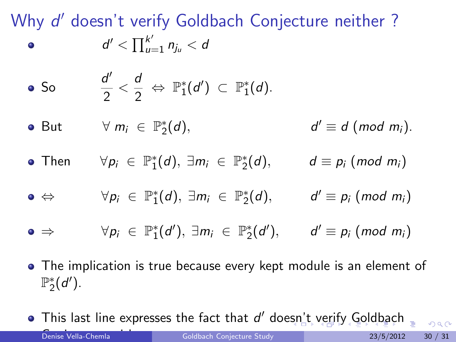Why d' doesn't verify Goldbach Conjecture neither?  $d' < \prod_{u=1}^{k'} n_{j_u} < d$  $\bullet$ 

• So 
$$
\frac{d'}{2} < \frac{d}{2} \Leftrightarrow \mathbb{P}_1^*(d') \subset \mathbb{P}_1^*(d)
$$
.

- But  $\forall m_i \in \mathbb{P}_2^*(d)$ , d  $d' \equiv d \pmod{m_i}$ .
- Then  $\forall p_i \in \mathbb{P}^*_1(d), \exists m_i \in \mathbb{P}^*_2$  $d \equiv p_i \pmod{m_i}$
- $\Leftrightarrow$   $\forall p_i \in \mathbb{P}_1^*(d), \exists m_i \in \mathbb{P}_2^*$ (d),  $d' \equiv p_i \pmod{m_i}$
- $\Rightarrow$   $\forall p_i \in \mathbb{P}_1^*(d'), \exists m_i \in \mathbb{P}_2^*(d'), \qquad d' \equiv p_i \pmod{m_i}$
- The implication is true because every kept module is an element of  $\mathbb{P}_2^*(d')$ .
- <span id="page-29-0"></span>This last line expresses the fact that d' doe[sn](#page-28-0)'[t](#page-30-0) [v](#page-28-0)[eri](#page-29-0)[fy](#page-30-0) [G](#page-0-0)[ol](#page-30-0)[db](#page-0-0)[ac](#page-30-0)[h](#page-0-0) Conjecture neither. Denise Vella-Chemla [Goldbach Conjecture Study](#page-0-0) 23/5/2012 30 / 31